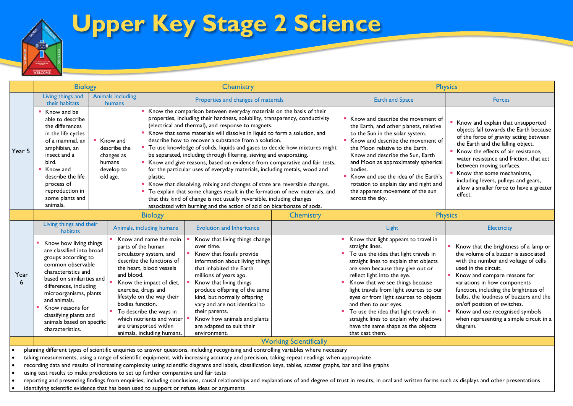

## **Upper Key Stage 2 Science**

|           | <b>Biology</b>                                                                                                                                                                                                                                                                                                         |                                    | Chemistry                                                                                                                                                                                                                                                                                                                                                                                                                                                                                                                                                                                                                                                                                                                                                                                                                                                                                                                                                                                 |                                                                                                                                                                                                                                                                                                                                                                                               |                                                                                                                                                                                                                                                                                                                                                                                                                      | <b>Physics</b>                                                                                                                                                                                                                                                                                                                                                                                                                                                                                            |                                                                                                                                                                                                                                                                                                                                                                                                                            |
|-----------|------------------------------------------------------------------------------------------------------------------------------------------------------------------------------------------------------------------------------------------------------------------------------------------------------------------------|------------------------------------|-------------------------------------------------------------------------------------------------------------------------------------------------------------------------------------------------------------------------------------------------------------------------------------------------------------------------------------------------------------------------------------------------------------------------------------------------------------------------------------------------------------------------------------------------------------------------------------------------------------------------------------------------------------------------------------------------------------------------------------------------------------------------------------------------------------------------------------------------------------------------------------------------------------------------------------------------------------------------------------------|-----------------------------------------------------------------------------------------------------------------------------------------------------------------------------------------------------------------------------------------------------------------------------------------------------------------------------------------------------------------------------------------------|----------------------------------------------------------------------------------------------------------------------------------------------------------------------------------------------------------------------------------------------------------------------------------------------------------------------------------------------------------------------------------------------------------------------|-----------------------------------------------------------------------------------------------------------------------------------------------------------------------------------------------------------------------------------------------------------------------------------------------------------------------------------------------------------------------------------------------------------------------------------------------------------------------------------------------------------|----------------------------------------------------------------------------------------------------------------------------------------------------------------------------------------------------------------------------------------------------------------------------------------------------------------------------------------------------------------------------------------------------------------------------|
|           | Living things and<br>their habitats                                                                                                                                                                                                                                                                                    | <b>Animals including</b><br>humans |                                                                                                                                                                                                                                                                                                                                                                                                                                                                                                                                                                                                                                                                                                                                                                                                                                                                                                                                                                                           | Properties and changes of materials                                                                                                                                                                                                                                                                                                                                                           |                                                                                                                                                                                                                                                                                                                                                                                                                      | <b>Earth and Space</b>                                                                                                                                                                                                                                                                                                                                                                                                                                                                                    | <b>Forces</b>                                                                                                                                                                                                                                                                                                                                                                                                              |
| Year 5    | ■ Know and be<br>able to describe<br>the differences<br>in the life cycles<br>of a mammal, an<br>Know and<br>amphibian, an<br>describe the<br>insect and a<br>changes as<br>bird.<br>humans<br>develop to<br>Know and<br>old age.<br>describe the life<br>process of<br>reproduction in<br>some plants and<br>animals. |                                    | Know the comparison between everyday materials on the basis of their<br>properties, including their hardness, solubility, transparency, conductivity<br>(electrical and thermal), and response to magnets.<br>Know that some materials will dissolve in liquid to form a solution, and<br>describe how to recover a substance from a solution.<br>" To use knowledge of solids, liquids and gases to decide how mixtures might<br>be separated, including through filtering, sieving and evaporating.<br>Know and give reasons, based on evidence from comparative and fair tests,<br>for the particular uses of everyday materials, including metals, wood and<br>plastic.<br>Know that dissolving, mixing and changes of state are reversible changes.<br>To explain that some changes result in the formation of new materials, and<br>that this kind of change is not usually reversible, including changes<br>associated with burning and the action of acid on bicarbonate of soda. |                                                                                                                                                                                                                                                                                                                                                                                               | Know and describe the movement of<br>the Earth, and other planets, relative<br>to the Sun in the solar system.<br>Know and describe the movement of<br>the Moon relative to the Earth.<br>Know and describe the Sun, Earth<br>and Moon as approximately spherical<br>bodies.<br>Know and use the idea of the Earth's<br>rotation to explain day and night and<br>the apparent movement of the sun<br>across the sky. | Know and explain that unsupported<br>objects fall towards the Earth because<br>of the force of gravity acting between<br>the Earth and the falling object.<br>Know the effects of air resistance,<br>water resistance and friction, that act<br>between moving surfaces.<br>Know that some mechanisms,<br>including levers, pulleys and gears,<br>allow a smaller force to have a greater<br>effect.                                                                                                      |                                                                                                                                                                                                                                                                                                                                                                                                                            |
|           | <b>Biology</b><br><b>Chemistry</b>                                                                                                                                                                                                                                                                                     |                                    |                                                                                                                                                                                                                                                                                                                                                                                                                                                                                                                                                                                                                                                                                                                                                                                                                                                                                                                                                                                           |                                                                                                                                                                                                                                                                                                                                                                                               | <b>Physics</b>                                                                                                                                                                                                                                                                                                                                                                                                       |                                                                                                                                                                                                                                                                                                                                                                                                                                                                                                           |                                                                                                                                                                                                                                                                                                                                                                                                                            |
|           | Living things and their<br>habitats                                                                                                                                                                                                                                                                                    |                                    | Animals, including humans                                                                                                                                                                                                                                                                                                                                                                                                                                                                                                                                                                                                                                                                                                                                                                                                                                                                                                                                                                 | <b>Evolution and Inheritance</b>                                                                                                                                                                                                                                                                                                                                                              |                                                                                                                                                                                                                                                                                                                                                                                                                      | Light                                                                                                                                                                                                                                                                                                                                                                                                                                                                                                     | Electricity                                                                                                                                                                                                                                                                                                                                                                                                                |
| Year<br>6 | Know how living things<br>are classified into broad<br>groups according to<br>common observable<br>characteristics and<br>based on similarities and<br>differences, including<br>microorganisms, plants<br>and animals.<br>Know reasons for<br>classifying plants and<br>animals based on specific<br>characteristics. | and blood.<br>bodies function.     | Know and name the main<br>parts of the human<br>circulatory system, and<br>describe the functions of<br>the heart, blood vessels<br>Know the impact of diet,<br>exercise, drugs and<br>lifestyle on the way their<br>To describe the ways in<br>which nutrients and water<br>are transported within<br>animals, including humans.                                                                                                                                                                                                                                                                                                                                                                                                                                                                                                                                                                                                                                                         | Know that living things change<br>over time.<br>Know that fossils provide<br>information about living things<br>that inhabited the Earth<br>millions of years ago.<br>Know that living things<br>produce offspring of the same<br>kind, but normally offspring<br>vary and are not identical to<br>their parents.<br>Know how animals and plants<br>are adapted to suit their<br>environment. |                                                                                                                                                                                                                                                                                                                                                                                                                      | Know that light appears to travel in<br>straight lines.<br>To use the idea that light travels in<br>straight lines to explain that objects<br>are seen because they give out or<br>reflect light into the eye.<br>Know that we see things because<br>light travels from light sources to our<br>eyes or from light sources to objects<br>and then to our eyes.<br>To use the idea that light travels in<br>straight lines to explain why shadows<br>have the same shape as the objects<br>that cast them. | Know that the brightness of a lamp or<br>the volume of a buzzer is associated<br>with the number and voltage of cells<br>used in the circuit.<br>Know and compare reasons for<br>variations in how components<br>function, including the brightness of<br>bulbs, the loudness of buzzers and the<br>on/off position of switches.<br>Know and use recognised symbols<br>when representing a simple circuit in a<br>diagram. |
|           | <b>Working Scientifically</b>                                                                                                                                                                                                                                                                                          |                                    |                                                                                                                                                                                                                                                                                                                                                                                                                                                                                                                                                                                                                                                                                                                                                                                                                                                                                                                                                                                           |                                                                                                                                                                                                                                                                                                                                                                                               |                                                                                                                                                                                                                                                                                                                                                                                                                      |                                                                                                                                                                                                                                                                                                                                                                                                                                                                                                           |                                                                                                                                                                                                                                                                                                                                                                                                                            |

• planning different types of scientific enquiries to answer questions, including recognising and controlling variables where necessary

• taking measurements, using a range of scientific equipment, with increasing accuracy and precision, taking repeat readings when appropriate

- recording data and results of increasing complexity using scientific diagrams and labels, classification keys, tables, scatter graphs, bar and line graphs
- using test results to make predictions to set up further comparative and fair tests

• reporting and presenting findings from enquiries, including conclusions, causal relationships and explanations of and degree of trust in results, in oral and written forms such as displays and other presentations

identifying scientific evidence that has been used to support or refute ideas or arguments